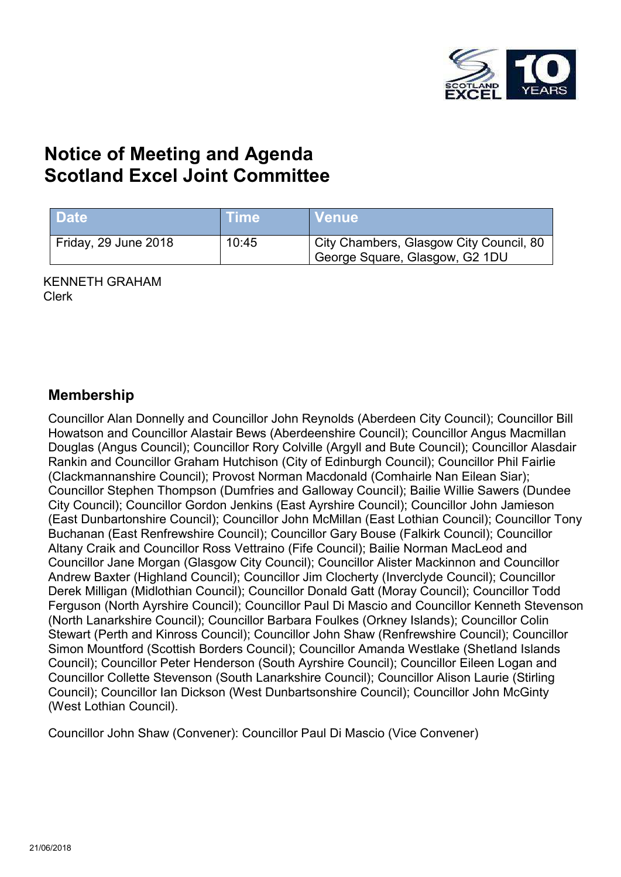

# **Notice of Meeting and Agenda Scotland Excel Joint Committee**

| <b>Date</b>          | ⊦Time∶ | <b>Nenue</b>                                                              |
|----------------------|--------|---------------------------------------------------------------------------|
| Friday, 29 June 2018 | 10:45  | City Chambers, Glasgow City Council, 80<br>George Square, Glasgow, G2 1DU |

KENNETH GRAHAM Clerk

#### **Membership**

Councillor Alan Donnelly and Councillor John Reynolds (Aberdeen City Council); Councillor Bill Howatson and Councillor Alastair Bews (Aberdeenshire Council); Councillor Angus Macmillan Douglas (Angus Council); Councillor Rory Colville (Argyll and Bute Council); Councillor Alasdair Rankin and Councillor Graham Hutchison (City of Edinburgh Council); Councillor Phil Fairlie (Clackmannanshire Council); Provost Norman Macdonald (Comhairle Nan Eilean Siar); Councillor Stephen Thompson (Dumfries and Galloway Council); Bailie Willie Sawers (Dundee City Council); Councillor Gordon Jenkins (East Ayrshire Council); Councillor John Jamieson (East Dunbartonshire Council); Councillor John McMillan (East Lothian Council); Councillor Tony Buchanan (East Renfrewshire Council); Councillor Gary Bouse (Falkirk Council); Councillor Altany Craik and Councillor Ross Vettraino (Fife Council); Bailie Norman MacLeod and Councillor Jane Morgan (Glasgow City Council); Councillor Alister Mackinnon and Councillor Andrew Baxter (Highland Council); Councillor Jim Clocherty (Inverclyde Council); Councillor Derek Milligan (Midlothian Council); Councillor Donald Gatt (Moray Council); Councillor Todd Ferguson (North Ayrshire Council); Councillor Paul Di Mascio and Councillor Kenneth Stevenson (North Lanarkshire Council); Councillor Barbara Foulkes (Orkney Islands); Councillor Colin Stewart (Perth and Kinross Council); Councillor John Shaw (Renfrewshire Council); Councillor Simon Mountford (Scottish Borders Council); Councillor Amanda Westlake (Shetland Islands Council); Councillor Peter Henderson (South Ayrshire Council); Councillor Eileen Logan and Councillor Collette Stevenson (South Lanarkshire Council); Councillor Alison Laurie (Stirling Council); Councillor Ian Dickson (West Dunbartsonshire Council); Councillor John McGinty (West Lothian Council).

Councillor John Shaw (Convener): Councillor Paul Di Mascio (Vice Convener)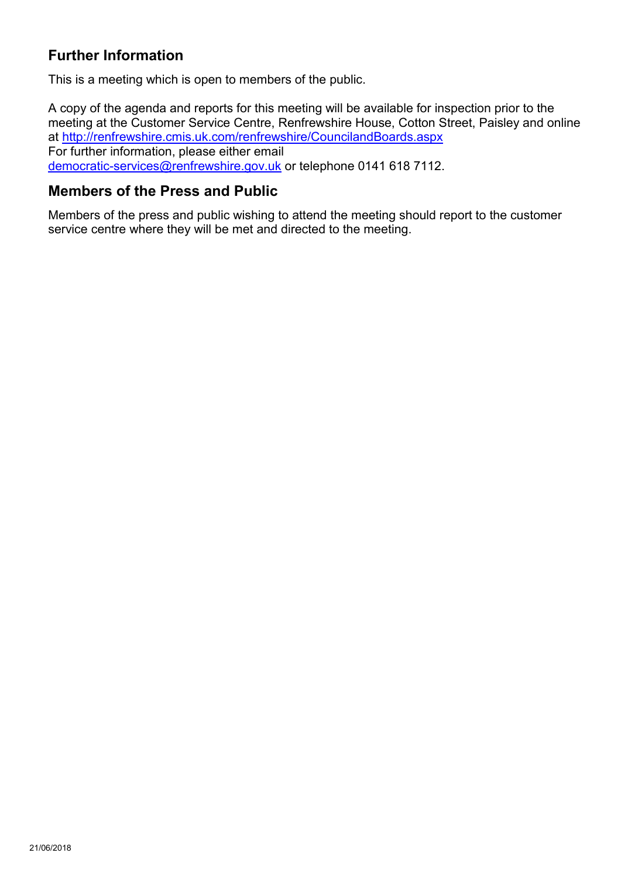### **Further Information**

This is a meeting which is open to members of the public.

A copy of the agenda and reports for this meeting will be available for inspection prior to the meeting at the Customer Service Centre, Renfrewshire House, Cotton Street, Paisley and online at <http://renfrewshire.cmis.uk.com/renfrewshire/CouncilandBoards.aspx> For further information, please either email [democratic-services@renfrewshire.gov.uk](mailto:democratic-services@renfrewshire.gov.uk) or telephone 0141 618 7112.

#### **Members of the Press and Public**

Members of the press and public wishing to attend the meeting should report to the customer service centre where they will be met and directed to the meeting.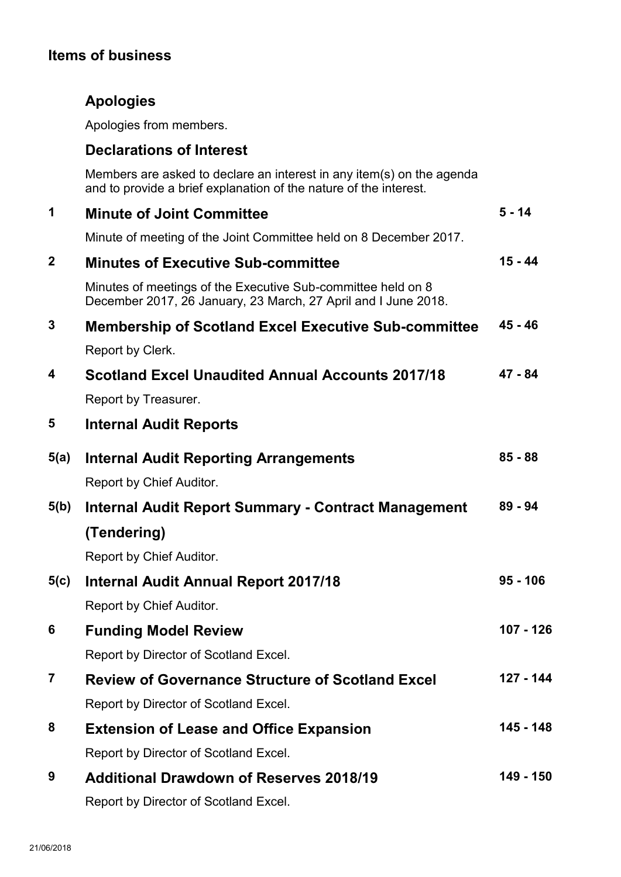## **Items of business**

# **Apologies**

Apologies from members.

### **Declarations of Interest**

Members are asked to declare an interest in any item(s) on the agenda and to provide a brief explanation of the nature of the interest.

| 1                | <b>Minute of Joint Committee</b>                                                                                               | $5 - 14$   |
|------------------|--------------------------------------------------------------------------------------------------------------------------------|------------|
|                  | Minute of meeting of the Joint Committee held on 8 December 2017.                                                              |            |
| $\boldsymbol{2}$ | <b>Minutes of Executive Sub-committee</b>                                                                                      | $15 - 44$  |
|                  | Minutes of meetings of the Executive Sub-committee held on 8<br>December 2017, 26 January, 23 March, 27 April and I June 2018. |            |
| 3                | <b>Membership of Scotland Excel Executive Sub-committee</b>                                                                    | $45 - 46$  |
|                  | Report by Clerk.                                                                                                               |            |
| 4                | <b>Scotland Excel Unaudited Annual Accounts 2017/18</b>                                                                        | 47 - 84    |
|                  | Report by Treasurer.                                                                                                           |            |
| 5                | <b>Internal Audit Reports</b>                                                                                                  |            |
| 5(a)             | <b>Internal Audit Reporting Arrangements</b>                                                                                   | $85 - 88$  |
|                  | Report by Chief Auditor.                                                                                                       |            |
| 5(b)             | Internal Audit Report Summary - Contract Management                                                                            | $89 - 94$  |
|                  | (Tendering)                                                                                                                    |            |
|                  | Report by Chief Auditor.                                                                                                       |            |
| 5(c)             | <b>Internal Audit Annual Report 2017/18</b>                                                                                    | $95 - 106$ |
|                  | Report by Chief Auditor.                                                                                                       |            |
| 6                | <b>Funding Model Review</b>                                                                                                    | 107 - 126  |
|                  | Report by Director of Scotland Excel.                                                                                          |            |
| $\overline{7}$   | <b>Review of Governance Structure of Scotland Excel</b>                                                                        | 127 - 144  |
|                  | Report by Director of Scotland Excel.                                                                                          |            |
| 8                | <b>Extension of Lease and Office Expansion</b>                                                                                 | 145 - 148  |
|                  | Report by Director of Scotland Excel.                                                                                          |            |
| 9                | <b>Additional Drawdown of Reserves 2018/19</b>                                                                                 | 149 - 150  |
|                  | Report by Director of Scotland Excel.                                                                                          |            |